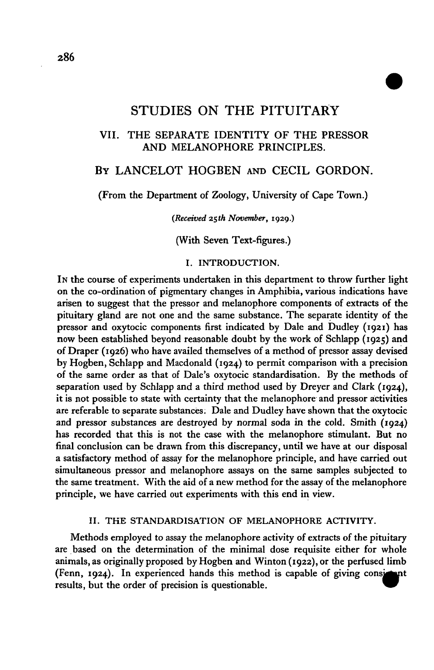# STUDIES ON THE PITUITARY

# VII. THE SEPARATE IDENTITY OF THE PRESSOR AND MELANOPHORE PRINCIPLES.

# BY LANCELOT HOGBEN AND CECIL GORDON.

## (From the Department of Zoology, University of Cape Town.)

*(Received 25th November,* **1929.)**

(With Seven Text-figures.)

## I. INTRODUCTION.

IN the course of experiments undertaken in this department to throw further light on the co-ordination of pigmentary changes in Amphibia, various indications have arisen to suggest that the pressor and melanophore components of extracts of the pituitary gland are not one and the same substance. The separate identity of the pressor and oxytocic components first indicated by Dale and Dudley (1921) has now been established beyond reasonable doubt by the work of Schlapp (1925) and of Draper (1926) who have availed themselves of a method of pressor assay devised by Hogben, Schlapp and Macdonald (1924) to permit comparison with a precision of the same order as that of Dale's oxytocic standardisation. By the methods of separation used by Schlapp and a third method used by Dreyer and Clark (1924), it is not possible to state with certainty that the melanophore and pressor activities are referable to separate substances. Dale and Dudley have shown that the oxytocic and pressor substances are destroyed by normal soda in the cold. Smith (1924) has recorded that this is not the case with the melanophore stimulant. But no final conclusion can be drawn from this discrepancy, until we have at our disposal a satisfactory method of assay for the melanophore principle, and have carried out simultaneous pressor and melanophore assays on the same samples subjected to the same treatment. With the aid of a new method for the assay of the melanophore principle, we have carried out experiments with this end in view.

### II. THE STANDARDISATION OF MELANOPHORE ACTIVITY.

Methods employed to assay the melanophore activity of extracts of the pituitary are based on the determination of the minimal dose requisite either for whole animals, as originally proposed by Hogben and Winton (1922), or the perfused limb (Fenn, 1924). In experienced hands this method is capable of giving  $\mathbf{nt}$ results, but the order of precision is questionable.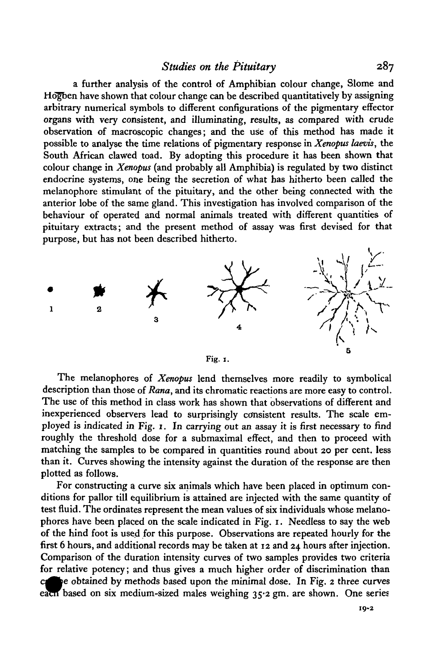## *Studies on the Pituitary* 287

a further analysis of the control of Amphibian colour change, Slome and Hogben have shown that colour change can be described quantitatively by assigning arbitrary numerical symbols to different configurations of the pigmentary effector organs with very consistent, and illuminating, results, as compared with crude observation of macroscopic changes; and the use of this method has made it possible to analyse the time relations of pigmentary response in *Xenopus laevis,* the South African clawed toad. By adopting this procedure it has been shown that colour change in *Xenopus* (and probably all Amphibia) is regulated by two distinct endocrine systems, one being the secretion of what has hitherto been called the melanophore stimulant of the pituitary, and the other being connected with the anterior lobe of the same gland. This investigation has involved comparison of the behaviour of operated and normal animals treated with different quantities of pituitary extracts; and the present method of assay was first devised for that purpose, but has not been described hitherto.





The melanophores of *Xenopus* lend themselves more readily to symbolical description than those of *Rana,* and its chromatic reactions are more easy to control. The use of this method in class work has shown that observations of different and inexperienced observers lead to surprisingly consistent results. The scale employed is indicated in Fig. 1. In carrying out an assay it is first necessary to find roughly the threshold dose for a submaximal effect, and then to proceed with matching the samples to be compared in quantities round about 20 per cent, less than it. Curves showing the intensity against the duration of the response are then plotted as follows.

For constructing a curve six animals which have been placed in optimum conditions for pallor till equilibrium is attained are injected with the same quantity of test fluid. The ordinates represent the mean values of six individuals whose melanophores have been placed on the scale indicated in Fig. 1. Needless to say the web of the hind foot is used for this purpose. Observations are repeated hourly for the first 6 hours, and additional records may be taken at 12 and 24 hours after injection. Comparison of the duration intensity curves of two samples provides two criteria for relative potency; and thus gives a much higher order of discrimination than be obtained by methods based upon the minimal dose. In Fig. 2 three curves each based on six medium-sized males weighing 35.2 gm. are shown. One series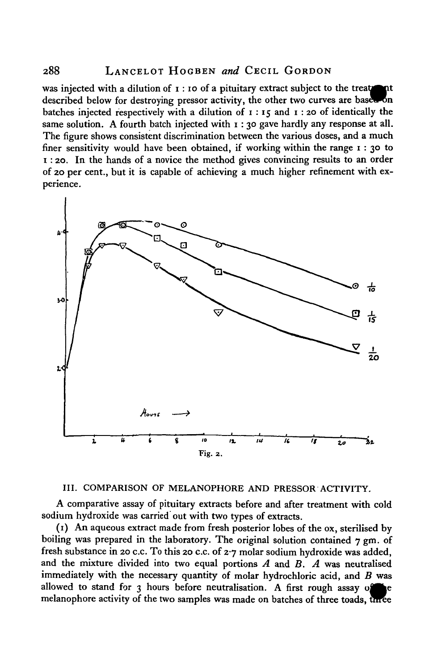## 288 LANCELOT HOGBEN *and* CECIL GORDON

was injected with a dilution of  $\mathbf{I}$  : 10 of a pituitary extract subject to the treaty described below for destroying pressor activity, the other two curves are based бn batches injected respectively with a dilution of  $1 : 15$  and  $1 : 20$  of identically the same solution. A fourth batch injected with  $r : 30$  gave hardly any response at all. The figure shows consistent discrimination between the various doses, and a much finer sensitivity would have been obtained, if working within the range 1 : 30 to i : 20. In the hands of a novice the method gives convincing results to an order of 20 per cent., but it is capable of achieving a much higher refinement with experience.



## III. COMPARISON OF MELANOPHORE AND PRESSOR ACTIVITY.

A comparative assay of pituitary extracts before and after treatment with cold sodium hydroxide was carried out with two types of extracts.

(1) An aqueous extract made from fresh posterior lobes of the ox, sterilised by boiling was prepared in the laboratory. The original solution contained 7 gm. of fresh substance in 20 c.c. To this 20 c.c. of  $2.7$  molar sodium hydroxide was added, and the mixture divided into two equal portions *A* and *B. A* was neutralised immediately with the necessary quantity of molar hydrochloric acid, and *B* was allowed to stand for 3 hours before neutralisation. A first rough assay  $\circ$ melanophore activity of the two samples was made on batches of three toads, three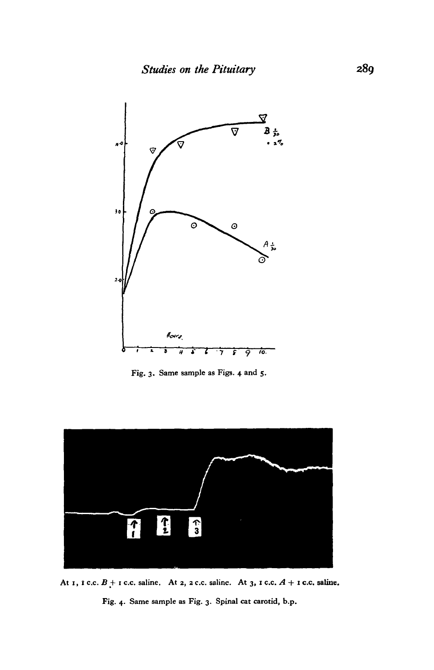

**Fig. 3. Same sample as Figs. 4 and 5.**



At 1, *t* c.c.  $B +$  1 c.c. saline. At 2, 2 c.c. saline. At 3, 1 c.c.  $A +$  1 c.c. saline.

**Fig. 4. Same sample as Fig. 3. Spinal cat carotid, b.p.**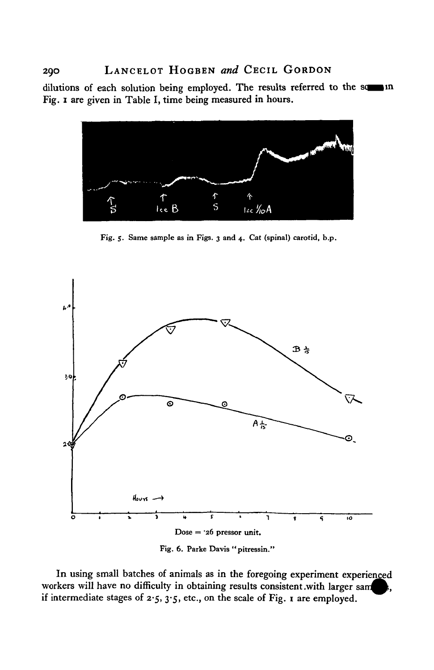dilutions of each solution being employed. The results referred to the some in Fig. 1 are given in Table I, time being measured in hours.



Fig. 5. Same sample as in Figs. 3 and 4. Cat (spinal) carotid, b.p.



Fig. 6. Parke Davis "pitressin."

In using small batches of animals as in the foregoing experiment experienced workers will have no difficulty in obtaining results consistent .with larger sam if intermediate stages of  $2.5$ ,  $3.5$ , etc., on the scale of Fig. 1 are employed.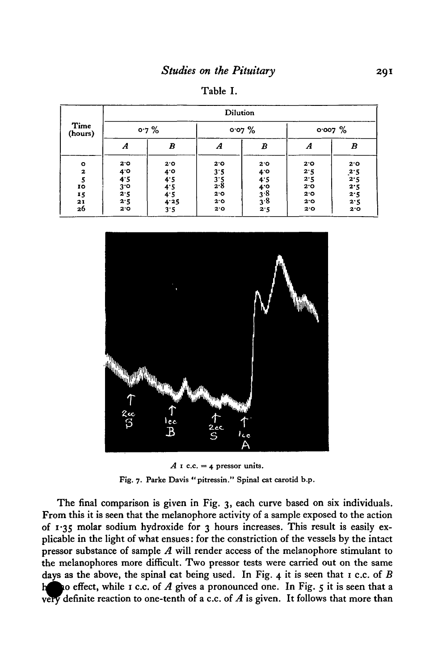Table I.

| Time<br>(hours)           | <b>Dilution</b>              |                                  |                   |                                  |                   |                          |
|---------------------------|------------------------------|----------------------------------|-------------------|----------------------------------|-------------------|--------------------------|
|                           | 0.7%                         |                                  | 0.07%             |                                  | $0.007\%$         |                          |
|                           | A                            | B                                | Α                 | B                                | Α                 | B                        |
| $\bullet$<br>$\mathbf{z}$ | 2.0                          | 2٠٥                              | 2.0<br>3.5        | 2.0<br>$4^\circ$                 | 2.0<br>2.5        | 2.0                      |
| IO                        | $4.0$<br>$4.5$               | $4.5$<br>$4.5$<br>$4.5$<br>$4.5$ | $3.5$<br>$2.8$    | 4.5                              | 2.5<br>2.0        | $\frac{2.5}{2.5}$<br>2.5 |
| 15<br>21<br>26            | $3.0$<br>$2.5$<br>2.5<br>2.0 | 4.25<br>3.5                      | 2.0<br>2.0<br>2.0 | $4.0$<br>$3.8$<br>$3.8$<br>$2.5$ | 2.0<br>2.0<br>2.0 | 2.5<br>2.5<br>2.0        |



 $A$  **1** c.c. = 4 pressor units. **Fig. 7. Parke Davis "pitressin." Spinal cat carotid b.p.**

The final comparison is given in Fig. 3, each curve based on six individuals. From this it is seen that the melanophore activity of a sample exposed to the action of 1\*35 molar sodium hydroxide for 3 hours increases. This result is easily explicable in the light of what ensues: for the constriction of the vessels by the intact pressor substance of sample *A* will render access of the melanophore stimulant to the melanophores more difficult. Two pressor tests were carried out on the same days as the above, the spinal cat being used. In Fig. 4 it is seen that 1 c.c. of *B* happo effect, while 1 c.c. of A gives a pronounced one. In Fig. 5 it is seen that a very definite reaction to one-tenth of a c.c. of  $A$  is given. It follows that more than